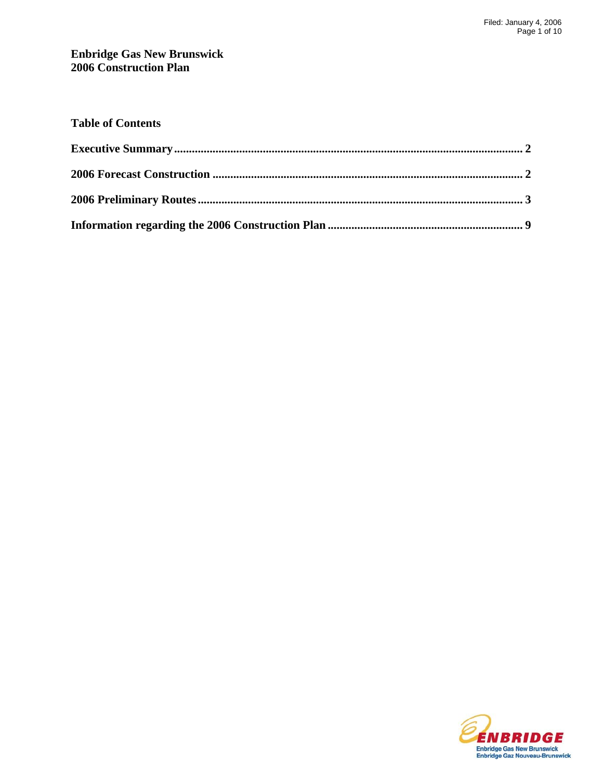### **Enbridge Gas New Brunswick 2006 Construction Plan**

| <b>Table of Contents</b> |  |
|--------------------------|--|
|                          |  |
|                          |  |
|                          |  |
|                          |  |

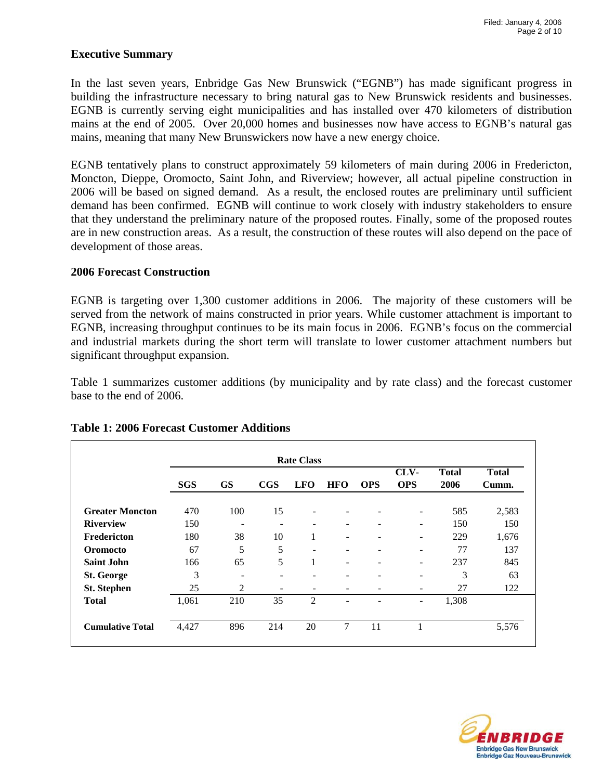### **Executive Summary**

In the last seven years, Enbridge Gas New Brunswick ("EGNB") has made significant progress in building the infrastructure necessary to bring natural gas to New Brunswick residents and businesses. EGNB is currently serving eight municipalities and has installed over 470 kilometers of distribution mains at the end of 2005. Over 20,000 homes and businesses now have access to EGNB's natural gas mains, meaning that many New Brunswickers now have a new energy choice.

EGNB tentatively plans to construct approximately 59 kilometers of main during 2006 in Fredericton, Moncton, Dieppe, Oromocto, Saint John, and Riverview; however, all actual pipeline construction in 2006 will be based on signed demand. As a result, the enclosed routes are preliminary until sufficient demand has been confirmed. EGNB will continue to work closely with industry stakeholders to ensure that they understand the preliminary nature of the proposed routes. Finally, some of the proposed routes are in new construction areas. As a result, the construction of these routes will also depend on the pace of development of those areas.

#### **2006 Forecast Construction**

EGNB is targeting over 1,300 customer additions in 2006. The majority of these customers will be served from the network of mains constructed in prior years. While customer attachment is important to EGNB, increasing throughput continues to be its main focus in 2006. EGNB's focus on the commercial and industrial markets during the short term will translate to lower customer attachment numbers but significant throughput expansion.

Table 1 summarizes customer additions (by municipality and by rate class) and the forecast customer base to the end of 2006.

|                         | <b>Rate Class</b> |                          |                              |                          |                              |            |                          |                      |                       |
|-------------------------|-------------------|--------------------------|------------------------------|--------------------------|------------------------------|------------|--------------------------|----------------------|-----------------------|
|                         | <b>SGS</b>        | <b>GS</b>                | $_{\rm CGS}$                 | <b>LFO</b>               | <b>HFO</b>                   | <b>OPS</b> | CLV-<br><b>OPS</b>       | <b>Total</b><br>2006 | <b>Total</b><br>Cumm. |
| <b>Greater Moncton</b>  | 470               | 100                      | 15                           | -                        | $\overline{\phantom{0}}$     |            | $\overline{\phantom{a}}$ | 585                  | 2,583                 |
| <b>Riverview</b>        | 150               | $\overline{\phantom{a}}$ | $\qquad \qquad \blacksquare$ | $\overline{\phantom{m}}$ | $\overline{\phantom{a}}$     | -          | $\overline{\phantom{a}}$ | 150                  | 150                   |
| Fredericton             | 180               | 38                       | 10                           | 1                        | $\overline{\phantom{0}}$     |            | -                        | 229                  | 1,676                 |
| <b>Oromocto</b>         | 67                | 5                        | 5                            | -                        | $\overline{\phantom{a}}$     |            | $\overline{\phantom{a}}$ | 77                   | 137                   |
| <b>Saint John</b>       | 166               | 65                       | 5                            | 1                        | $\qquad \qquad \blacksquare$ | -          | $\qquad \qquad -$        | 237                  | 845                   |
| <b>St. George</b>       | 3                 | $\overline{\phantom{0}}$ | ۰                            | -                        | $\overline{\phantom{a}}$     |            | -                        | 3                    | 63                    |
| <b>St. Stephen</b>      | 25                | 2                        |                              |                          |                              |            | ٠                        | 27                   | 122                   |
| <b>Total</b>            | 1,061             | 210                      | 35                           | $\overline{2}$           |                              |            | $\qquad \qquad -$        | 1,308                |                       |
| <b>Cumulative Total</b> | 4,427             | 896                      | 214                          | 20                       | 7                            | 11         |                          |                      | 5,576                 |

### **Table 1: 2006 Forecast Customer Additions**

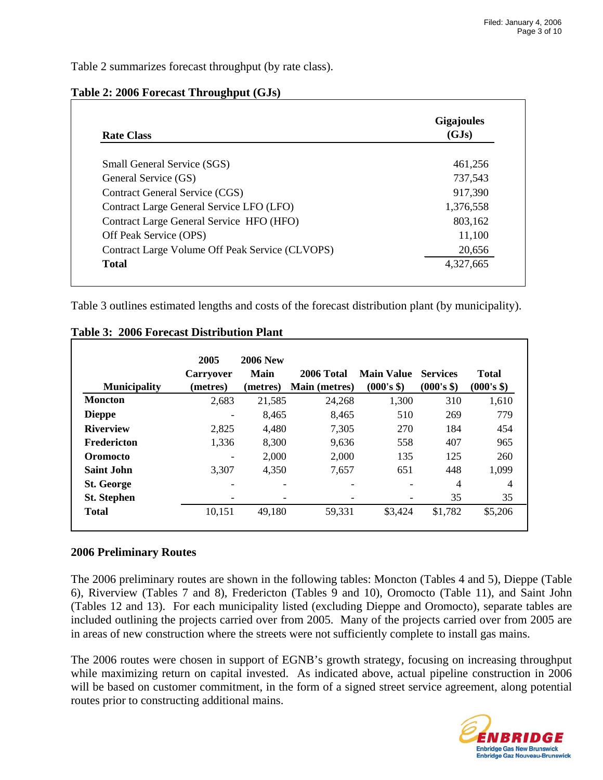Table 2 summarizes forecast throughput (by rate class).

| <b>Rate Class</b>                               | <b>Gigajoules</b><br>(GJs) |
|-------------------------------------------------|----------------------------|
| <b>Small General Service (SGS)</b>              | 461.256                    |
| General Service (GS)                            | 737,543                    |
| Contract General Service (CGS)                  | 917,390                    |
| Contract Large General Service LFO (LFO)        | 1,376,558                  |
| Contract Large General Service HFO (HFO)        | 803,162                    |
| Off Peak Service (OPS)                          | 11,100                     |
| Contract Large Volume Off Peak Service (CLVOPS) | 20,656                     |
| <b>Total</b>                                    | 4,327,665                  |

### **Table 2: 2006 Forecast Throughput (GJs)**

Table 3 outlines estimated lengths and costs of the forecast distribution plant (by municipality).

|                     | <b>Carryover</b>         | <b>2006 New</b><br>Main | 2006 Total           | <b>Main Value</b> | <b>Services</b> | <b>Total</b> |
|---------------------|--------------------------|-------------------------|----------------------|-------------------|-----------------|--------------|
| <b>Municipality</b> | (metres)                 | (metres)                | <b>Main (metres)</b> | $(000's$ \$)      | (000's \$)      | (000's \$)   |
| <b>Moncton</b>      | 2,683                    | 21,585                  | 24,268               | 1,300             | 310             | 1,610        |
| <b>Dieppe</b>       | -                        | 8,465                   | 8.465                | 510               | 269             | 779          |
| <b>Riverview</b>    | 2,825                    | 4,480                   | 7,305                | 270               | 184             | 454          |
| Fredericton         | 1,336                    | 8,300                   | 9.636                | 558               | 407             | 965          |
| <b>Oromocto</b>     | $\overline{\phantom{a}}$ | 2,000                   | 2,000                | 135               | 125             | 260          |
| <b>Saint John</b>   | 3,307                    | 4,350                   | 7,657                | 651               | 448             | 1,099        |
| <b>St. George</b>   | $\overline{\phantom{0}}$ |                         |                      |                   | 4               | 4            |
| <b>St. Stephen</b>  |                          |                         |                      |                   | 35              | 35           |
| <b>Total</b>        | 10,151                   | 49,180                  | 59,331               | \$3,424           | \$1,782         | \$5,206      |

**Table 3: 2006 Forecast Distribution Plant**

## **2006 Preliminary Routes**

The 2006 preliminary routes are shown in the following tables: Moncton (Tables 4 and 5), Dieppe (Table 6), Riverview (Tables 7 and 8), Fredericton (Tables 9 and 10), Oromocto (Table 11), and Saint John (Tables 12 and 13). For each municipality listed (excluding Dieppe and Oromocto), separate tables are included outlining the projects carried over from 2005. Many of the projects carried over from 2005 are in areas of new construction where the streets were not sufficiently complete to install gas mains.

The 2006 routes were chosen in support of EGNB's growth strategy, focusing on increasing throughput while maximizing return on capital invested. As indicated above, actual pipeline construction in 2006 will be based on customer commitment, in the form of a signed street service agreement, along potential routes prior to constructing additional mains.

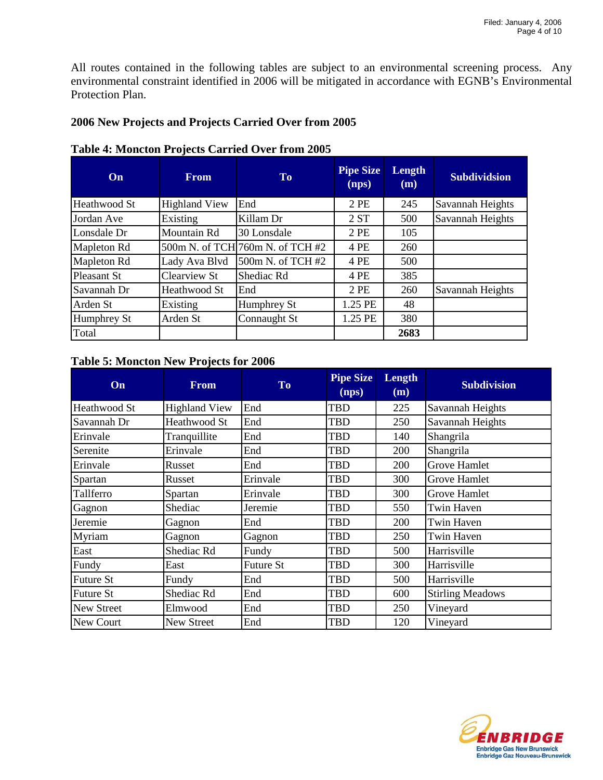All routes contained in the following tables are subject to an environmental screening process. Any environmental constraint identified in 2006 will be mitigated in accordance with EGNB's Environmental Protection Plan.

### **2006 New Projects and Projects Carried Over from 2005**

| On                 | <b>From</b>          | To                               | <b>Pipe Size</b><br>(nps) | Length<br>(m) | <b>Subdividsion</b> |
|--------------------|----------------------|----------------------------------|---------------------------|---------------|---------------------|
| Heathwood St       | <b>Highland View</b> | End                              | 2PE                       | 245           | Savannah Heights    |
| Jordan Ave         | Existing             | Killam Dr                        | 2ST                       | 500           | Savannah Heights    |
| Lonsdale Dr        | Mountain Rd          | 30 Lonsdale                      | 2PE                       | 105           |                     |
| Mapleton Rd        |                      | 500m N. of TCH 760m N. of TCH #2 | 4 PE                      | 260           |                     |
| Mapleton Rd        | Lady Ava Blvd        | 500m N. of TCH #2                | 4 PE                      | 500           |                     |
| <b>Pleasant St</b> | <b>Clearview St</b>  | Shediac Rd                       | 4 PE                      | 385           |                     |
| Savannah Dr        | Heathwood St         | End                              | 2PE                       | 260           | Savannah Heights    |
| Arden St           | Existing             | Humphrey St                      | 1.25 PE                   | 48            |                     |
| Humphrey St        | Arden St             | Connaught St                     | 1.25 PE                   | 380           |                     |
| Total              |                      |                                  |                           | 2683          |                     |

#### **Table 4: Moncton Projects Carried Over from 2005**

## **Table 5: Moncton New Projects for 2006**

| On                | From                 | <b>To</b>        | <b>Pipe Size</b><br>(nps) | Length<br>(m) | <b>Subdivision</b>      |
|-------------------|----------------------|------------------|---------------------------|---------------|-------------------------|
| Heathwood St      | <b>Highland View</b> | End              | TBD                       | 225           | Savannah Heights        |
| Savannah Dr       | Heathwood St         | End              | TBD                       | 250           | Savannah Heights        |
| Erinvale          | Tranquillite         | End              | TBD                       | 140           | Shangrila               |
| Serenite          | Erinvale             | End              | <b>TBD</b>                | 200           | Shangrila               |
| Erinvale          | Russet               | End              | <b>TBD</b>                | 200           | Grove Hamlet            |
| Spartan           | Russet               | Erinvale         | <b>TBD</b>                | 300           | Grove Hamlet            |
| Tallferro         | Spartan              | Erinvale         | <b>TBD</b>                | 300           | Grove Hamlet            |
| Gagnon            | Shediac              | Jeremie          | TBD                       | 550           | Twin Haven              |
| Jeremie           | Gagnon               | End              | TBD                       | <b>200</b>    | Twin Haven              |
| Myriam            | Gagnon               | Gagnon           | TBD                       | 250           | Twin Haven              |
| East              | Shediac Rd           | Fundy            | <b>TBD</b>                | 500           | Harrisville             |
| Fundy             | East                 | <b>Future St</b> | <b>TBD</b>                | 300           | Harrisville             |
| <b>Future St</b>  | Fundy                | End              | <b>TBD</b>                | 500           | Harrisville             |
| <b>Future St</b>  | Shediac Rd           | End              | <b>TBD</b>                | 600           | <b>Stirling Meadows</b> |
| <b>New Street</b> | Elmwood              | End              | <b>TBD</b>                | 250           | Vineyard                |
| New Court         | New Street           | End              | <b>TBD</b>                | 120           | Vineyard                |

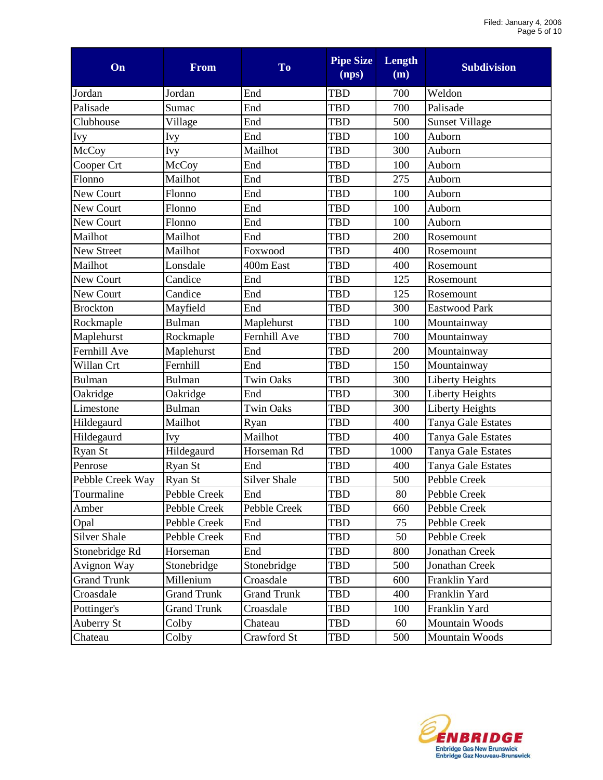| On                  | <b>From</b>        | To                 | <b>Pipe Size</b><br>(nps) | Length<br>(m) | <b>Subdivision</b>    |
|---------------------|--------------------|--------------------|---------------------------|---------------|-----------------------|
| Jordan              | Jordan             | End                | <b>TBD</b>                | 700           | Weldon                |
| Palisade            | Sumac              | End                | <b>TBD</b>                | 700           | Palisade              |
| Clubhouse           | Village            | End                | <b>TBD</b>                | 500           | <b>Sunset Village</b> |
| <b>Ivy</b>          | Ivy                | End                | <b>TBD</b>                | 100           | Auborn                |
| McCoy               | Ivy                | Mailhot            | <b>TBD</b>                | 300           | Auborn                |
| Cooper Crt          | McCoy              | End                | <b>TBD</b>                | 100           | Auborn                |
| Flonno              | Mailhot            | End                | <b>TBD</b>                | 275           | Auborn                |
| New Court           | Flonno             | End                | <b>TBD</b>                | 100           | Auborn                |
| New Court           | Flonno             | End                | <b>TBD</b>                | 100           | Auborn                |
| New Court           | Flonno             | End                | <b>TBD</b>                | 100           | Auborn                |
| Mailhot             | Mailhot            | End                | <b>TBD</b>                | 200           | Rosemount             |
| <b>New Street</b>   | Mailhot            | Foxwood            | <b>TBD</b>                | 400           | Rosemount             |
| Mailhot             | Lonsdale           | 400m East          | <b>TBD</b>                | 400           | Rosemount             |
| New Court           | Candice            | End                | <b>TBD</b>                | 125           | Rosemount             |
| New Court           | Candice            | End                | <b>TBD</b>                | 125           | Rosemount             |
| <b>Brockton</b>     | Mayfield           | End                | <b>TBD</b>                | 300           | Eastwood Park         |
| Rockmaple           | <b>Bulman</b>      | Maplehurst         | <b>TBD</b>                | 100           | Mountainway           |
| Maplehurst          | Rockmaple          | Fernhill Ave       | TBD                       | 700           | Mountainway           |
| Fernhill Ave        | Maplehurst         | End                | <b>TBD</b>                | 200           | Mountainway           |
| Willan Crt          | Fernhill           | End                | <b>TBD</b>                | 150           | Mountainway           |
| <b>Bulman</b>       | <b>Bulman</b>      | <b>Twin Oaks</b>   | <b>TBD</b>                | 300           | Liberty Heights       |
| Oakridge            | Oakridge           | End                | <b>TBD</b>                | 300           | Liberty Heights       |
| Limestone           | <b>Bulman</b>      | <b>Twin Oaks</b>   | <b>TBD</b>                | 300           | Liberty Heights       |
| Hildegaurd          | Mailhot            | Ryan               | TBD                       | 400           | Tanya Gale Estates    |
| Hildegaurd          | Ivy                | Mailhot            | <b>TBD</b>                | 400           | Tanya Gale Estates    |
| Ryan St             | Hildegaurd         | Horseman Rd        | <b>TBD</b>                | 1000          | Tanya Gale Estates    |
| Penrose             | Ryan St            | End                | <b>TBD</b>                | 400           | Tanya Gale Estates    |
| Pebble Creek Way    | Ryan St            | Silver Shale       | <b>TBD</b>                | 500           | Pebble Creek          |
| Tourmaline          | Pebble Creek       | End                | TBD                       | 80            | Pebble Creek          |
| Amber               | Pebble Creek       | Pebble Creek       | TBD                       | 660           | Pebble Creek          |
| Opal                | Pebble Creek       | End                | <b>TBD</b>                | 75            | Pebble Creek          |
| <b>Silver Shale</b> | Pebble Creek       | End                | TBD                       | 50            | Pebble Creek          |
| Stonebridge Rd      | Horseman           | End                | <b>TBD</b>                | 800           | Jonathan Creek        |
| Avignon Way         | Stonebridge        | Stonebridge        | <b>TBD</b>                | 500           | Jonathan Creek        |
| <b>Grand Trunk</b>  | Millenium          | Croasdale          | TBD                       | 600           | Franklin Yard         |
| Croasdale           | <b>Grand Trunk</b> | <b>Grand Trunk</b> | TBD                       | 400           | Franklin Yard         |
| Pottinger's         | <b>Grand Trunk</b> | Croasdale          | TBD                       | 100           | Franklin Yard         |
| Auberry St          | Colby              | Chateau            | TBD                       | 60            | Mountain Woods        |
| Chateau             | Colby              | Crawford St        | TBD                       | 500           | Mountain Woods        |

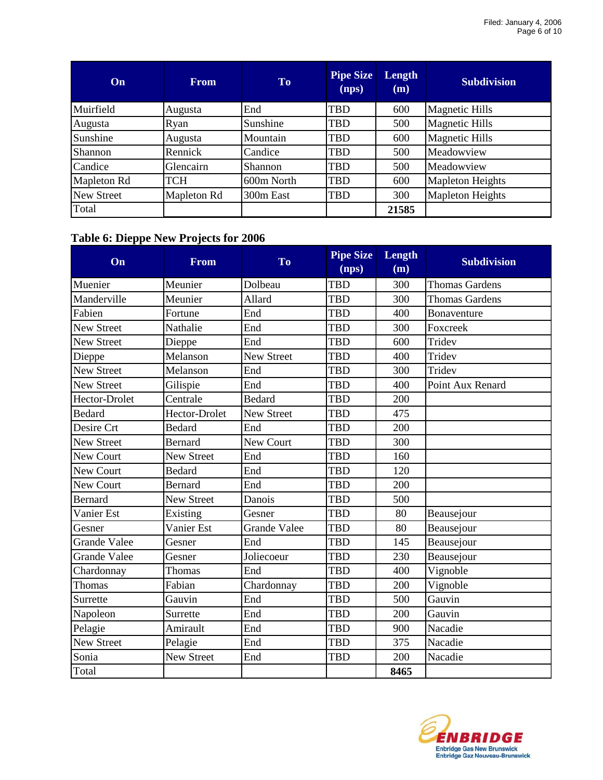| On                | <b>From</b> | <b>To</b>  | <b>Pipe Size</b><br>(nps) | Length<br>(m) | <b>Subdivision</b>      |
|-------------------|-------------|------------|---------------------------|---------------|-------------------------|
| Muirfield         | Augusta     | End        | <b>TBD</b>                | 600           | <b>Magnetic Hills</b>   |
| Augusta           | Ryan        | Sunshine   | TBD                       | 500           | <b>Magnetic Hills</b>   |
| Sunshine          | Augusta     | Mountain   | <b>TBD</b>                | 600           | <b>Magnetic Hills</b>   |
| Shannon           | Rennick     | Candice    | <b>TBD</b>                | 500           | Meadowview              |
| Candice           | Glencairn   | Shannon    | TBD                       | 500           | Meadowview              |
| Mapleton Rd       | TCH         | 600m North | <b>TBD</b>                | 600           | <b>Mapleton Heights</b> |
| <b>New Street</b> | Mapleton Rd | 300m East  | <b>TBD</b>                | 300           | <b>Mapleton Heights</b> |
| Total             |             |            |                           | 21585         |                         |

# **Table 6: Dieppe New Projects for 2006**

| On                  | <b>From</b>       | <b>To</b>           | Pipe Size<br>(nps) | Length<br>(m) | <b>Subdivision</b>    |
|---------------------|-------------------|---------------------|--------------------|---------------|-----------------------|
| Muenier             | Meunier           | Dolbeau             | <b>TBD</b>         | 300           | <b>Thomas Gardens</b> |
| Manderville         | Meunier           | Allard              | <b>TBD</b>         | 300           | <b>Thomas Gardens</b> |
| Fabien              | Fortune           | End                 | <b>TBD</b>         | 400           | Bonaventure           |
| <b>New Street</b>   | Nathalie          | End                 | <b>TBD</b>         | 300           | Foxcreek              |
| New Street          | Dieppe            | End                 | <b>TBD</b>         | 600           | Tridev                |
| Dieppe              | Melanson          | <b>New Street</b>   | <b>TBD</b>         | 400           | Tridev                |
| <b>New Street</b>   | Melanson          | End                 | <b>TBD</b>         | 300           | Tridev                |
| <b>New Street</b>   | Gilispie          | End                 | <b>TBD</b>         | 400           | Point Aux Renard      |
| Hector-Drolet       | Centrale          | <b>Bedard</b>       | <b>TBD</b>         | 200           |                       |
| <b>Bedard</b>       | Hector-Drolet     | <b>New Street</b>   | <b>TBD</b>         | 475           |                       |
| Desire Crt          | <b>Bedard</b>     | End                 | <b>TBD</b>         | 200           |                       |
| <b>New Street</b>   | <b>Bernard</b>    | <b>New Court</b>    | <b>TBD</b>         | 300           |                       |
| New Court           | <b>New Street</b> | End                 | <b>TBD</b>         | 160           |                       |
| New Court           | <b>Bedard</b>     | End                 | <b>TBD</b>         | 120           |                       |
| New Court           | <b>Bernard</b>    | End                 | <b>TBD</b>         | 200           |                       |
| Bernard             | <b>New Street</b> | Danois              | <b>TBD</b>         | 500           |                       |
| Vanier Est          | Existing          | Gesner              | <b>TBD</b>         | 80            | Beausejour            |
| Gesner              | Vanier Est        | <b>Grande Valee</b> | <b>TBD</b>         | 80            | Beausejour            |
| <b>Grande Valee</b> | Gesner            | End                 | TBD                | 145           | Beausejour            |
| <b>Grande Valee</b> | Gesner            | Joliecoeur          | <b>TBD</b>         | 230           | Beausejour            |
| Chardonnay          | Thomas            | End                 | <b>TBD</b>         | 400           | Vignoble              |
| Thomas              | Fabian            | Chardonnay          | <b>TBD</b>         | 200           | Vignoble              |
| Surrette            | Gauvin            | End                 | <b>TBD</b>         | 500           | Gauvin                |
| Napoleon            | Surrette          | End                 | <b>TBD</b>         | 200           | Gauvin                |
| Pelagie             | Amirault          | End                 | <b>TBD</b>         | 900           | Nacadie               |
| New Street          | Pelagie           | End                 | <b>TBD</b>         | 375           | Nacadie               |
| Sonia               | <b>New Street</b> | End                 | <b>TBD</b>         | 200           | Nacadie               |
| Total               |                   |                     |                    | 8465          |                       |

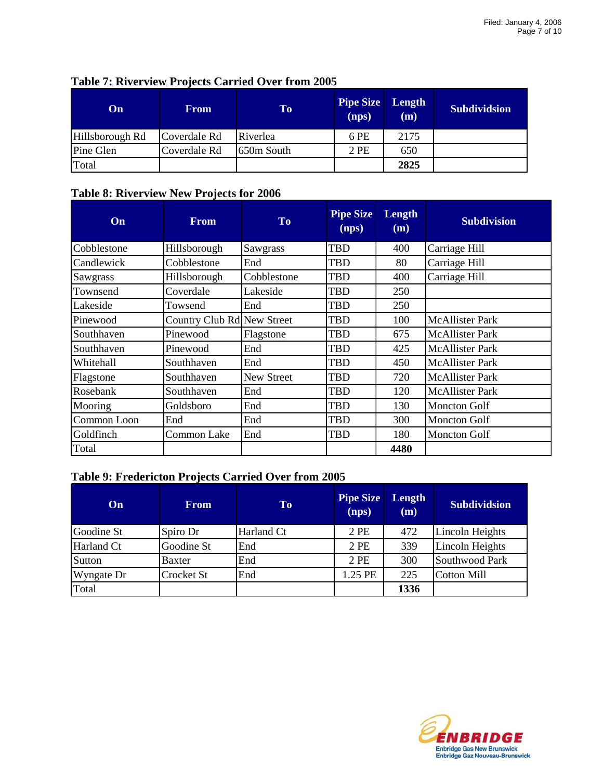| On.             | <b>From</b>  | To         | <b>Pipe Size</b><br>(nps) | Length<br>(m) | <b>Subdividsion</b> |
|-----------------|--------------|------------|---------------------------|---------------|---------------------|
| Hillsborough Rd | Coverdale Rd | Riverlea   | 6 PE                      | 2175          |                     |
| Pine Glen       | Coverdale Rd | 650m South | 2 PE                      | 650           |                     |
| Total           |              |            |                           | 2825          |                     |

### **Table 7: Riverview Projects Carried Over from 2005**

# **Table 8: Riverview New Projects for 2006**

| On              | <b>From</b>                | <b>To</b>         | <b>Pipe Size</b><br>(nps) | Length<br>(m) | <b>Subdivision</b>     |
|-----------------|----------------------------|-------------------|---------------------------|---------------|------------------------|
| Cobblestone     | Hillsborough               | Sawgrass          | TBD                       | 400           | Carriage Hill          |
| Candlewick      | Cobblestone                | End               | <b>TBD</b>                | 80            | Carriage Hill          |
| <b>Sawgrass</b> | Hillsborough               | Cobblestone       | TBD                       | 400           | Carriage Hill          |
| Townsend        | Coverdale                  | Lakeside          | <b>TBD</b>                | 250           |                        |
| Lakeside        | Towsend                    | End               | <b>TBD</b>                | 250           |                        |
| Pinewood        | Country Club Rd New Street |                   | <b>TBD</b>                | 100           | <b>McAllister Park</b> |
| Southhaven      | Pinewood                   | Flagstone         | <b>TBD</b>                | 675           | <b>McAllister Park</b> |
| Southhaven      | Pinewood                   | End               | <b>TBD</b>                | 425           | <b>McAllister Park</b> |
| Whitehall       | Southhaven                 | End               | TBD                       | 450           | <b>McAllister Park</b> |
| Flagstone       | Southhaven                 | <b>New Street</b> | <b>TBD</b>                | 720           | <b>McAllister Park</b> |
| Rosebank        | Southhaven                 | End               | <b>TBD</b>                | 120           | <b>McAllister Park</b> |
| Mooring         | Goldsboro                  | End               | <b>TBD</b>                | 130           | <b>Moncton Golf</b>    |
| Common Loon     | End                        | End               | <b>TBD</b>                | 300           | Moncton Golf           |
| Goldfinch       | Common Lake                | End               | TBD                       | 180           | <b>Moncton Golf</b>    |
| Total           |                            |                   |                           | 4480          |                        |

## **Table 9: Fredericton Projects Carried Over from 2005**

| On         | <b>From</b>   | <b>To</b>  | <b>Pipe Size</b><br>(nps) | Length<br>(m) | <b>Subdividsion</b> |
|------------|---------------|------------|---------------------------|---------------|---------------------|
| Goodine St | Spiro Dr      | Harland Ct | 2 PE                      | 472           | Lincoln Heights     |
| Harland Ct | Goodine St    | End        | 2 PE                      | 339           | Lincoln Heights     |
| Sutton     | <b>Baxter</b> | End        | 2 PE                      | 300           | Southwood Park      |
| Wyngate Dr | Crocket St    | End        | 1.25 PE                   | 225           | <b>Cotton Mill</b>  |
| Total      |               |            |                           | 1336          |                     |

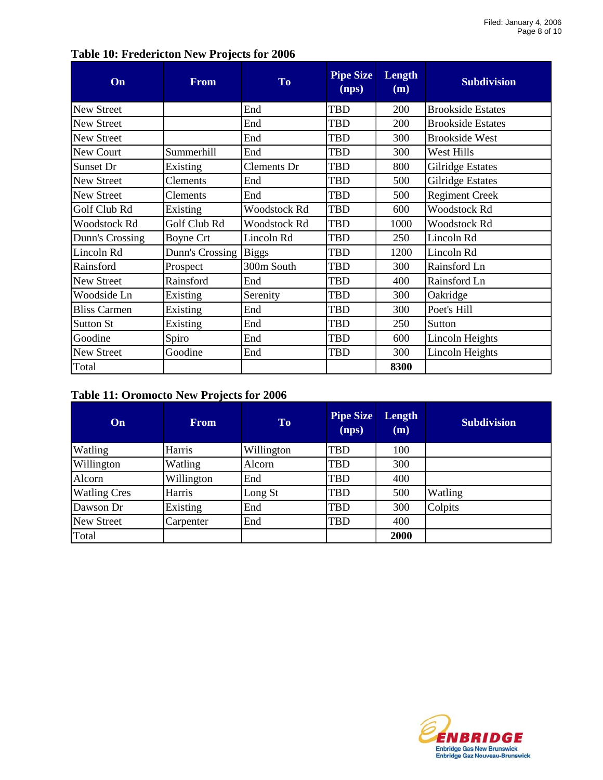| On                  | <b>From</b>      | <b>To</b>          | <b>Pipe Size</b><br>(nps) | Length<br>(m) | <b>Subdivision</b>       |
|---------------------|------------------|--------------------|---------------------------|---------------|--------------------------|
| New Street          |                  | End                | <b>TBD</b>                | 200           | <b>Brookside Estates</b> |
| <b>New Street</b>   |                  | End                | <b>TBD</b>                | 200           | <b>Brookside Estates</b> |
| New Street          |                  | End                | <b>TBD</b>                | 300           | <b>Brookside West</b>    |
| New Court           | Summerhill       | End                | <b>TBD</b>                | 300           | West Hills               |
| Sunset Dr           | Existing         | <b>Clements</b> Dr | TBD                       | 800           | <b>Gilridge Estates</b>  |
| New Street          | Clements         | End                | <b>TBD</b>                | 500           | <b>Gilridge Estates</b>  |
| New Street          | Clements         | End                | <b>TBD</b>                | 500           | <b>Regiment Creek</b>    |
| Golf Club Rd        | Existing         | Woodstock Rd       | <b>TBD</b>                | 600           | <b>Woodstock Rd</b>      |
| <b>Woodstock Rd</b> | Golf Club Rd     | Woodstock Rd       | <b>TBD</b>                | 1000          | <b>Woodstock Rd</b>      |
| Dunn's Crossing     | <b>Boyne Crt</b> | Lincoln Rd         | <b>TBD</b>                | 250           | Lincoln Rd               |
| Lincoln Rd          | Dunn's Crossing  | <b>Biggs</b>       | <b>TBD</b>                | 1200          | Lincoln Rd               |
| Rainsford           | Prospect         | 300m South         | TBD                       | 300           | Rainsford Ln             |
| New Street          | Rainsford        | End                | <b>TBD</b>                | 400           | Rainsford Ln             |
| Woodside Ln         | Existing         | Serenity           | <b>TBD</b>                | 300           | Oakridge                 |
| <b>Bliss Carmen</b> | Existing         | End                | <b>TBD</b>                | 300           | Poet's Hill              |
| <b>Sutton St</b>    | Existing         | End                | TBD                       | 250           | Sutton                   |
| Goodine             | Spiro            | End                | <b>TBD</b>                | 600           | <b>Lincoln Heights</b>   |
| New Street          | Goodine          | End                | TBD                       | 300           | Lincoln Heights          |
| Total               |                  |                    |                           | 8300          |                          |

# **Table 10: Fredericton New Projects for 2006**

### **Table 11: Oromocto New Projects for 2006**

| On                  | <b>From</b> | <b>To</b>  | <b>Pipe Size</b><br>(nps) | <b>Length</b><br>(m) | <b>Subdivision</b> |
|---------------------|-------------|------------|---------------------------|----------------------|--------------------|
| Watling             | Harris      | Willington | <b>TBD</b>                | 100                  |                    |
| Willington          | Watling     | Alcorn     | <b>TBD</b>                | 300                  |                    |
| Alcorn              | Willington  | End        | TBD                       | 400                  |                    |
| <b>Watling Cres</b> | Harris      | Long St    | TBD                       | 500                  | Watling            |
| Dawson Dr           | Existing    | End        | TBD                       | 300                  | Colpits            |
| <b>New Street</b>   | Carpenter   | End        | TBD                       | 400                  |                    |
| Total               |             |            |                           | 2000                 |                    |

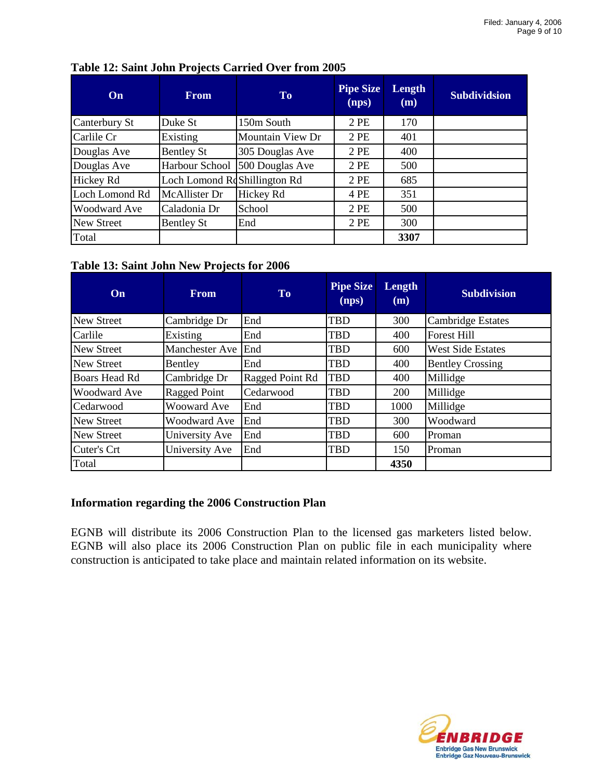| On                | <b>From</b>                     | To               | <b>Pipe Size</b><br>(nps) | Length<br>(m) | <b>Subdividsion</b> |
|-------------------|---------------------------------|------------------|---------------------------|---------------|---------------------|
| Canterbury St     | Duke St                         | 150m South       | 2PE                       | 170           |                     |
| Carlile Cr        | Existing                        | Mountain View Dr | 2 PE                      | 401           |                     |
| Douglas Ave       | <b>Bentley St</b>               | 305 Douglas Ave  | 2 PE                      | 400           |                     |
| Douglas Ave       | Harbour School                  | 500 Douglas Ave  | 2 PE                      | 500           |                     |
| Hickey Rd         | Loch Lomond Rest Shillington Rd |                  | 2 PE                      | 685           |                     |
| Loch Lomond Rd    | McAllister Dr                   | Hickey Rd        | 4 PE                      | 351           |                     |
| Woodward Ave      | Caladonia Dr                    | School           | 2 PE                      | 500           |                     |
| <b>New Street</b> | <b>Bentley St</b>               | End              | 2 PE                      | 300           |                     |
| Total             |                                 |                  |                           | 3307          |                     |

# **Table 12: Saint John Projects Carried Over from 2005**

### **Table 13: Saint John New Projects for 2006**

| On                | <b>From</b>        | <b>To</b>       | <b>Pipe Size</b><br>(nps) | Length<br>(m) | <b>Subdivision</b>       |
|-------------------|--------------------|-----------------|---------------------------|---------------|--------------------------|
| <b>New Street</b> | Cambridge Dr       | End             | <b>TBD</b>                | 300           | <b>Cambridge Estates</b> |
| Carlile           | Existing           | End             | <b>TBD</b>                | 400           | <b>Forest Hill</b>       |
| <b>New Street</b> | Manchester Ave     | End             | <b>TBD</b>                | 600           | <b>West Side Estates</b> |
| <b>New Street</b> | Bentley            | End             | <b>TBD</b>                | 400           | <b>Bentley Crossing</b>  |
| Boars Head Rd     | Cambridge Dr       | Ragged Point Rd | <b>TBD</b>                | 400           | Millidge                 |
| Woodward Ave      | Ragged Point       | Cedarwood       | <b>TBD</b>                | 200           | Millidge                 |
| Cedarwood         | <b>Wooward Ave</b> | End             | <b>TBD</b>                | 1000          | Millidge                 |
| <b>New Street</b> | Woodward Ave       | End             | <b>TBD</b>                | 300           | Woodward                 |
| <b>New Street</b> | University Ave     | End             | <b>TBD</b>                | 600           | Proman                   |
| Cuter's Crt       | University Ave     | End             | <b>TBD</b>                | 150           | Proman                   |
| Total             |                    |                 |                           | 4350          |                          |

### **Information regarding the 2006 Construction Plan**

EGNB will distribute its 2006 Construction Plan to the licensed gas marketers listed below. EGNB will also place its 2006 Construction Plan on public file in each municipality where construction is anticipated to take place and maintain related information on its website.